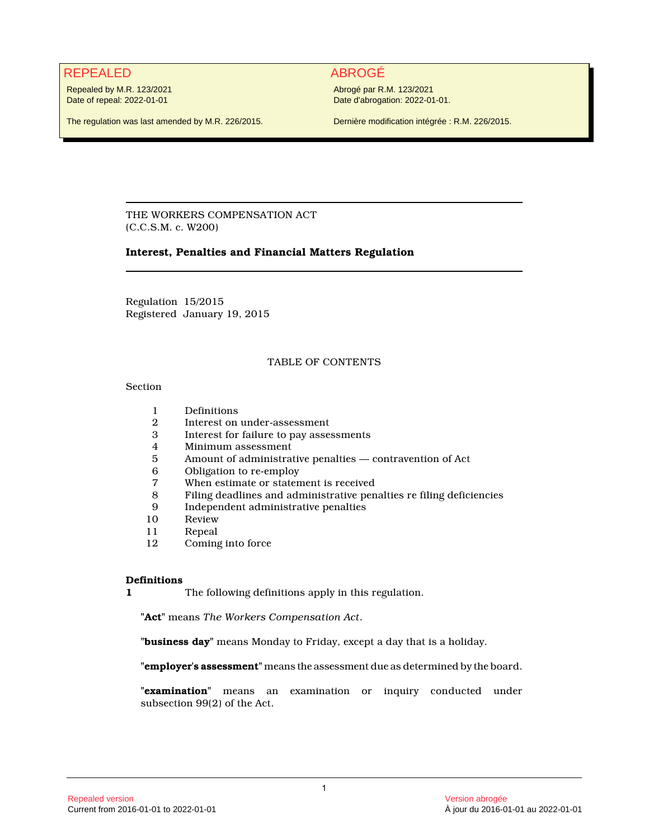# REPEALED ABROGÉ

Repealed by M.R. 123/2021 Date of repeal: 2022-01-01

Abrogé par R.M. 123/2021 Date d'abrogation: 2022-01-01.

The regulation was last amended by M.R. 226/2015.

Dernière modification intégrée : R.M. 226/2015.

THE WORKERS COMPENSATION ACT (C.C.S.M. c. W200)

# **Interest, Penalties and Financial Matters Regulation**

Regulation 15/2015 Registered January 19, 2015

# TABLE OF CONTENTS

# Section

- 1 Definitions
- 2 Interest on under-assessment
- 3 Interest for failure to pay assessments
- 4 Minimum assessment
- 5 Amount of administrative penalties contravention of Act
- 6 Obligation to re-employ
- When estimate or statement is received
- 8 Filing deadlines and administrative penalties re filing deficiencies
- 9 Independent administrative penalties
- 10 Review<br>11 Repeal
- 11 Repeal<br>12 Coming
- Coming into force

# **Definitions**

**1** The following definitions apply in this regulation.

**"Act"** means *The Workers Compensation Act*.

**"business day"** means Monday to Friday, except a day that is a holiday.

**"employer's assessment"** means the assessment due as determined by the board.

**"examination"** means an examination or inquiry conducted under subsection 99(2) of the Act.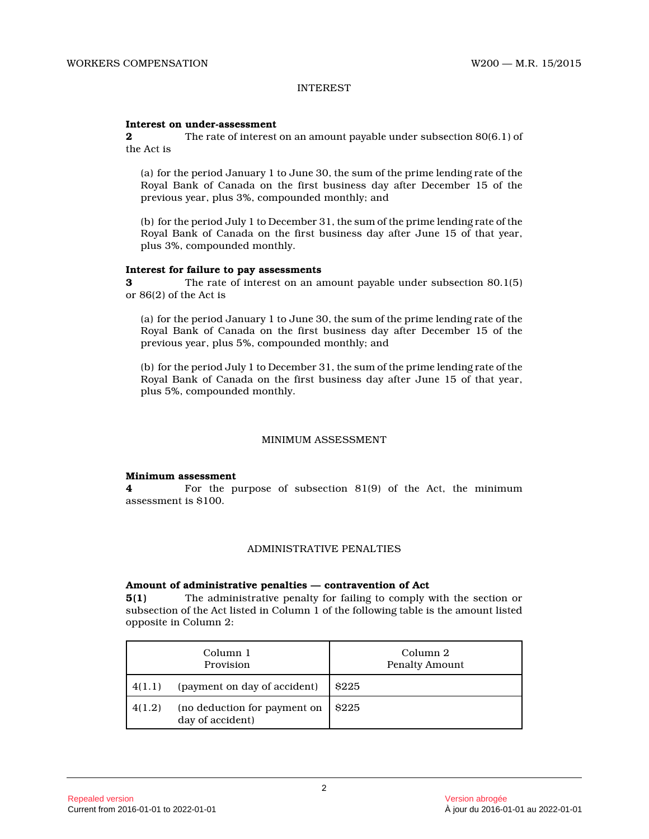# INTEREST

# **Interest on under-assessment**

**2** The rate of interest on an amount payable under subsection 80(6.1) of the Act is

(a) for the period January 1 to June 30, the sum of the prime lending rate of the Royal Bank of Canada on the first business day after December 15 of the previous year, plus 3%, compounded monthly; and

(b) for the period July 1 to December 31, the sum of the prime lending rate of the Royal Bank of Canada on the first business day after June 15 of that year, plus 3%, compounded monthly.

# **Interest for failure to pay assessments**

**3** The rate of interest on an amount payable under subsection 80.1(5) or 86(2) of the Act is

(a) for the period January 1 to June 30, the sum of the prime lending rate of the Royal Bank of Canada on the first business day after December 15 of the previous year, plus 5%, compounded monthly; and

(b) for the period July 1 to December 31, the sum of the prime lending rate of the Royal Bank of Canada on the first business day after June 15 of that year, plus 5%, compounded monthly.

# MINIMUM ASSESSMENT

#### **Minimum assessment**

**4** For the purpose of subsection 81(9) of the Act, the minimum assessment is \$100.

# ADMINISTRATIVE PENALTIES

# **Amount of administrative penalties — contravention of Act**

**5(1)** The administrative penalty for failing to comply with the section or subsection of the Act listed in Column 1 of the following table is the amount listed opposite in Column 2:

| Column 1<br>Provision |                                                  | Column 2<br><b>Penalty Amount</b> |  |
|-----------------------|--------------------------------------------------|-----------------------------------|--|
| 4(1.1)                | (payment on day of accident)                     | \$225                             |  |
| 4(1.2)                | (no deduction for payment on<br>day of accident) | \$225                             |  |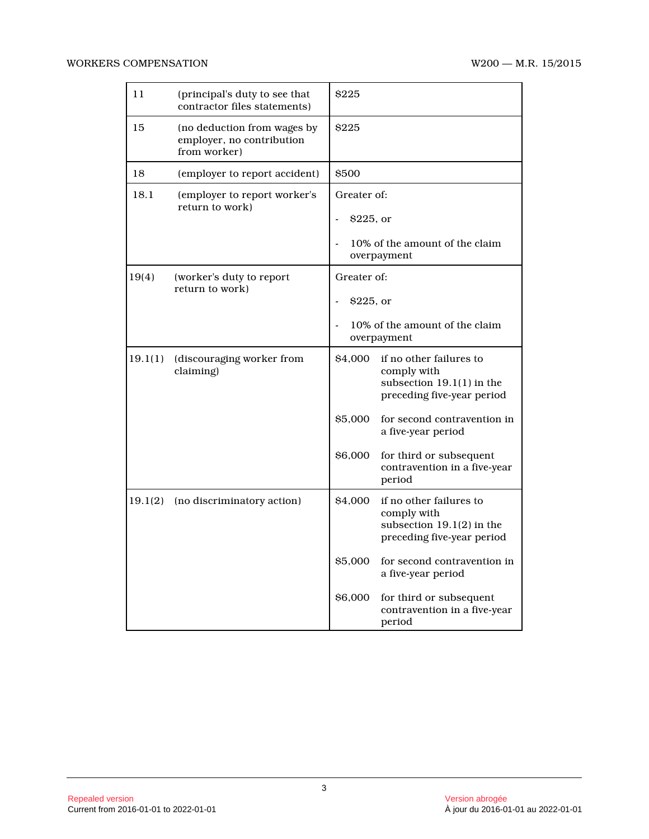| 11      | (principal's duty to see that<br>contractor files statements)            | \$225                         |                                                                                                                                                                                                                               |
|---------|--------------------------------------------------------------------------|-------------------------------|-------------------------------------------------------------------------------------------------------------------------------------------------------------------------------------------------------------------------------|
| 15      | (no deduction from wages by<br>employer, no contribution<br>from worker) | \$225                         |                                                                                                                                                                                                                               |
| 18      | (employer to report accident)                                            | \$500                         |                                                                                                                                                                                                                               |
| 18.1    | (employer to report worker's<br>return to work)                          | Greater of:<br>$$225$ , or    | 10% of the amount of the claim<br>overpayment                                                                                                                                                                                 |
| 19(4)   | (worker's duty to report<br>return to work)                              | Greater of:<br>\$225, or      | 10% of the amount of the claim<br>overpayment                                                                                                                                                                                 |
| 19.1(1) | (discouraging worker from<br>claiming)                                   | \$4,000<br>\$5,000<br>\$6,000 | if no other failures to<br>comply with<br>subsection $19.1(1)$ in the<br>preceding five-year period<br>for second contravention in<br>a five-year period<br>for third or subsequent<br>contravention in a five-year<br>period |
| 19.1(2) | (no discriminatory action)                                               | \$4,000                       | if no other failures to<br>comply with<br>subsection $19.1(2)$ in the<br>preceding five-year period                                                                                                                           |
|         |                                                                          | \$5,000                       | for second contravention in<br>a five-year period                                                                                                                                                                             |
|         |                                                                          | \$6,000                       | for third or subsequent<br>contravention in a five-year<br>period                                                                                                                                                             |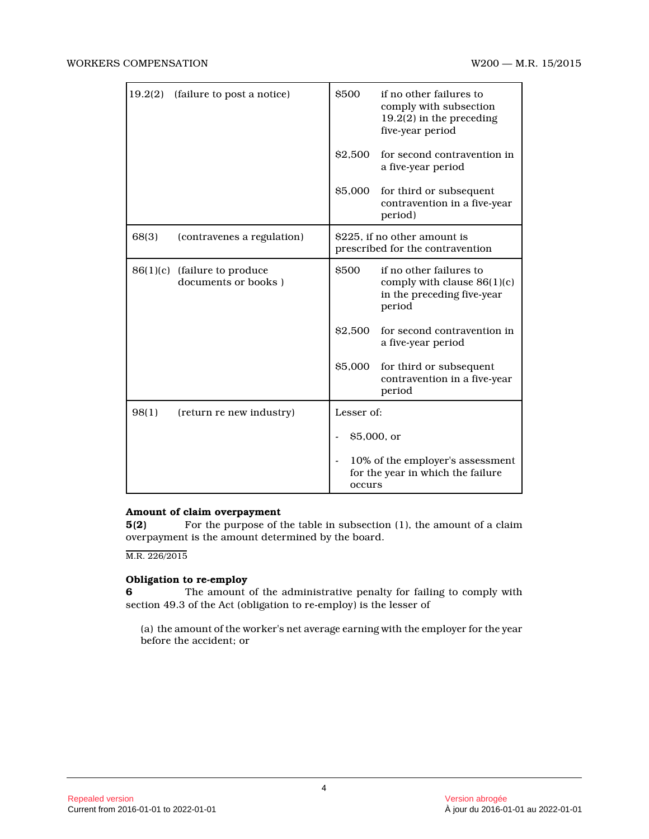| 19.2(2) | (failure to post a notice)                          | \$500                                                                           | if no other failures to<br>comply with subsection<br>$19.2(2)$ in the preceding<br>five-year period |
|---------|-----------------------------------------------------|---------------------------------------------------------------------------------|-----------------------------------------------------------------------------------------------------|
|         |                                                     | \$2,500                                                                         | for second contravention in<br>a five-year period                                                   |
|         |                                                     | \$5,000                                                                         | for third or subsequent<br>contravention in a five-year<br>period)                                  |
| 68(3)   | (contravenes a regulation)                          | \$225, if no other amount is<br>prescribed for the contravention                |                                                                                                     |
|         | 86(1)(c) (failure to produce<br>documents or books) | <b>S500</b>                                                                     | if no other failures to<br>comply with clause $86(1)(c)$<br>in the preceding five-year<br>period    |
|         |                                                     | \$2,500                                                                         | for second contravention in<br>a five-year period                                                   |
|         |                                                     | \$5,000                                                                         | for third or subsequent<br>contravention in a five-year<br>period                                   |
| 98(1)   | (return re new industry)                            | Lesser of:<br>$$5,000$ , or                                                     |                                                                                                     |
|         |                                                     |                                                                                 |                                                                                                     |
|         |                                                     | 10% of the employer's assessment<br>for the year in which the failure<br>occurs |                                                                                                     |

# **Amount of claim overpayment**

**5(2)** For the purpose of the table in subsection (1), the amount of a claim overpayment is the amount determined by the board.

M.R. 226/2015

# **Obligation to re-employ**

**6** The amount of the administrative penalty for failing to comply with section 49.3 of the Act (obligation to re-employ) is the lesser of

(a) the amount of the worker's net average earning with the employer for the year before the accident; or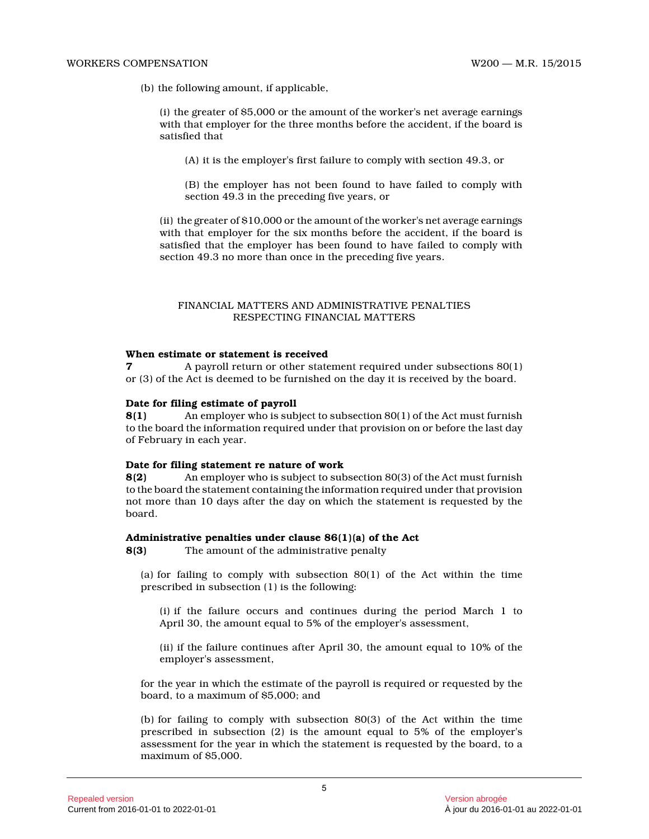#### WORKERS COMPENSATION W200 — M.R. 15/2015

(b) the following amount, if applicable,

(i) the greater of \$5,000 or the amount of the worker's net average earnings with that employer for the three months before the accident, if the board is satisfied that

(A) it is the employer's first failure to comply with section 49.3, or

(B) the employer has not been found to have failed to comply with section 49.3 in the preceding five years, or

(ii) the greater of \$10,000 or the amount of the worker's net average earnings with that employer for the six months before the accident, if the board is satisfied that the employer has been found to have failed to comply with section 49.3 no more than once in the preceding five years.

# FINANCIAL MATTERS AND ADMINISTRATIVE PENALTIES RESPECTING FINANCIAL MATTERS

# **When estimate or statement is received**

**7** A payroll return or other statement required under subsections 80(1) or (3) of the Act is deemed to be furnished on the day it is received by the board.

# **Date for filing estimate of payroll**

**8(1)** An employer who is subject to subsection 80(1) of the Act must furnish to the board the information required under that provision on or before the last day of February in each year.

# **Date for filing statement re nature of work**

**8(2)** An employer who is subject to subsection 80(3) of the Act must furnish to the board the statement containing the information required under that provision not more than 10 days after the day on which the statement is requested by the board.

# **Administrative penalties under clause 86(1)(a) of the Act**

**8(3)** The amount of the administrative penalty

(a) for failing to comply with subsection  $80(1)$  of the Act within the time prescribed in subsection (1) is the following:

(i) if the failure occurs and continues during the period March 1 to April 30, the amount equal to 5% of the employer's assessment,

(ii) if the failure continues after April 30, the amount equal to 10% of the employer's assessment,

for the year in which the estimate of the payroll is required or requested by the board, to a maximum of \$5,000; and

(b) for failing to comply with subsection 80(3) of the Act within the time prescribed in subsection (2) is the amount equal to 5% of the employer's assessment for the year in which the statement is requested by the board, to a maximum of \$5,000.